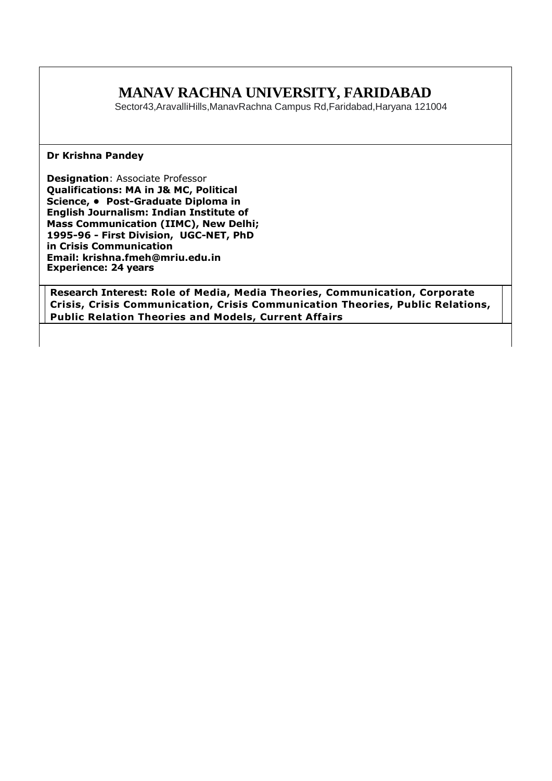# **MANAV RACHNA UNIVERSITY, FARIDABAD**

Sector43,AravalliHills,ManavRachna Campus Rd,Faridabad,Haryana 121004

#### **Dr Krishna Pandey**

**Designation**: Associate Professor **Qualifications: MA in J& MC, Political Science, • Post-Graduate Diploma in English Journalism: Indian Institute of Mass Communication (IIMC), New Delhi; 1995-96 - First Division, UGC-NET, PhD in Crisis Communication Email: krishna.fmeh@mriu.edu.in Experience: 24 years** 

**Research Interest: Role of Media, Media Theories, Communication, Corporate Crisis, Crisis Communication, Crisis Communication Theories, Public Relations, Public Relation Theories and Models, Current Affairs**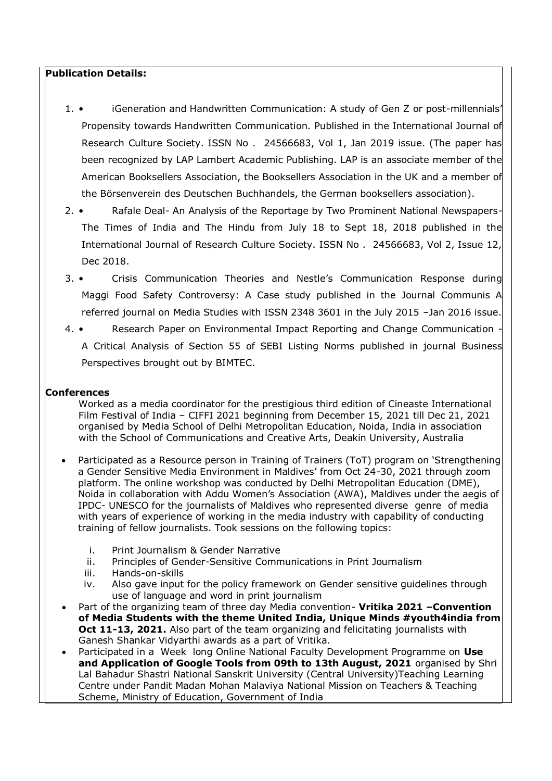#### **Publication Details:**

- 1. iGeneration and Handwritten Communication: A study of Gen Z or post-millennials' Propensity towards Handwritten Communication. Published in the International Journal of Research Culture Society. ISSN No . 24566683, Vol 1, Jan 2019 issue. (The paper has been recognized by LAP Lambert Academic Publishing. LAP is an associate member of the American Booksellers Association, the Booksellers Association in the UK and a member of the Börsenverein des Deutschen Buchhandels, the German booksellers association).
- 2. Rafale Deal- An Analysis of the Reportage by Two Prominent National Newspapers-The Times of India and The Hindu from July 18 to Sept 18, 2018 published in the International Journal of Research Culture Society. ISSN No . 24566683, Vol 2, Issue 12, Dec 2018.
- 3. Crisis Communication Theories and Nestle's Communication Response during Maggi Food Safety Controversy: A Case study published in the Journal Communis A referred journal on Media Studies with ISSN 2348 3601 in the July 2015 –Jan 2016 issue.
- 4. Research Paper on Environmental Impact Reporting and Change Communication A Critical Analysis of Section 55 of SEBI Listing Norms published in journal Business Perspectives brought out by BIMTEC.

### **Conferences**

Worked as a media coordinator for the prestigious third edition of Cineaste International Film Festival of India – CIFFI 2021 beginning from December 15, 2021 till Dec 21, 2021 organised by Media School of Delhi Metropolitan Education, Noida, India in association with the School of Communications and Creative Arts, Deakin University, Australia

- Participated as a Resource person in Training of Trainers (ToT) program on 'Strengthening a Gender Sensitive Media Environment in Maldives' from Oct 24-30, 2021 through zoom platform. The online workshop was conducted by Delhi Metropolitan Education (DME), Noida in collaboration with Addu Women's Association (AWA), Maldives under the aegis of IPDC- UNESCO for the journalists of Maldives who represented diverse genre of media with years of experience of working in the media industry with capability of conducting training of fellow journalists. Took sessions on the following topics:
	- i. Print Journalism & Gender Narrative
	- ii. Principles of Gender-Sensitive Communications in Print Journalism
	- iii. Hands-on-skills
	- iv. Also gave input for the policy framework on Gender sensitive guidelines through use of language and word in print journalism
- Part of the organizing team of three day Media convention- **Vritika 2021 –Convention of Media Students with the theme United India, Unique Minds #youth4india from Oct 11-13, 2021.** Also part of the team organizing and felicitating journalists with Ganesh Shankar Vidyarthi awards as a part of Vritika.
- Participated in a Week long Online National Faculty Development Programme on **Use and Application of Google Tools from 09th to 13th August, 2021** organised by Shri Lal Bahadur Shastri National Sanskrit University (Central University)Teaching Learning Centre under Pandit Madan Mohan Malaviya National Mission on Teachers & Teaching Scheme, Ministry of Education, Government of India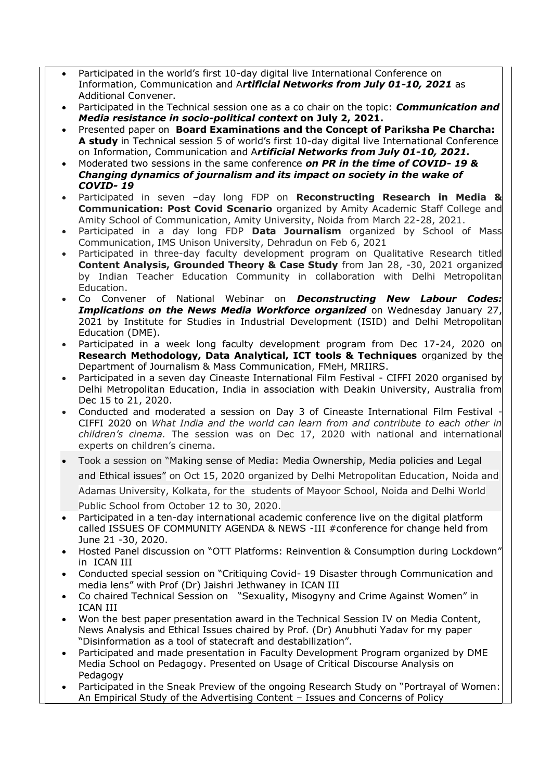- Participated in the world's first 10-day digital live International Conference on Information, Communication and A*rtificial Networks from July 01-10, 2021* as Additional Convener.
- Participated in the Technical session one as a co chair on the topic: *Communication and Media resistance in socio-political context* **on July 2, 2021.**
- Presented paper on **Board Examinations and the Concept of Pariksha Pe Charcha: A study** in Technical session 5 of world's first 10-day digital live International Conference on Information, Communication and A*rtificial Networks from July 01-10, 2021.*
- Moderated two sessions in the same conference *on PR in the time of COVID- 19 & Changing dynamics of journalism and its impact on society in the wake of COVID- 19*
- Participated in seven –day long FDP on **Reconstructing Research in Media & Communication: Post Covid Scenario** organized by Amity Academic Staff College and Amity School of Communication, Amity University, Noida from March 22-28, 2021.
- Participated in a day long FDP **Data Journalism** organized by School of Mass Communication, IMS Unison University, Dehradun on Feb 6, 2021
- Participated in three-day faculty development program on Qualitative Research titled **Content Analysis, Grounded Theory & Case Study** from Jan 28, -30, 2021 organized by Indian Teacher Education Community in collaboration with Delhi Metropolitan Education.
- Co Convener of National Webinar on *Deconstructing New Labour Codes: Implications on the News Media Workforce organized* on Wednesday January 27, 2021 by Institute for Studies in Industrial Development (ISID) and Delhi Metropolitan Education (DME).
- Participated in a week long faculty development program from Dec 17-24, 2020 on **Research Methodology, Data Analytical, ICT tools & Techniques** organized by the Department of Journalism & Mass Communication, FMeH, MRIIRS.
- Participated in a seven day Cineaste International Film Festival CIFFI 2020 organised by Delhi Metropolitan Education, India in association with Deakin University, Australia from Dec 15 to 21, 2020.
- Conducted and moderated a session on Day 3 of Cineaste International Film Festival CIFFI 2020 on *What India and the world can learn from and contribute to each other in children's cinema.* The session was on Dec 17, 2020 with national and international experts on children's cinema.
- Took a session on "Making sense of Media: Media Ownership, Media policies and Legal and Ethical issues" on Oct 15, 2020 organized by Delhi Metropolitan Education, Noida and Adamas University, Kolkata, for the students of Mayoor School, Noida and Delhi World Public School from October 12 to 30, 2020.
- Participated in a ten-day international academic conference live on the digital platform called ISSUES OF COMMUNITY AGENDA & NEWS -III #conference for change held from June 21 -30, 2020.
- Hosted Panel discussion on "OTT Platforms: Reinvention & Consumption during Lockdown" in ICAN III
- Conducted special session on "Critiquing Covid- 19 Disaster through Communication and media lens" with Prof (Dr) Jaishri Jethwaney in ICAN III
- Co chaired Technical Session on "Sexuality, Misogyny and Crime Against Women" in ICAN III
- Won the best paper presentation award in the Technical Session IV on Media Content, News Analysis and Ethical Issues chaired by Prof. (Dr) Anubhuti Yadav for my paper "Disinformation as a tool of statecraft and destabilization".
- Participated and made presentation in Faculty Development Program organized by DME Media School on Pedagogy. Presented on Usage of Critical Discourse Analysis on Pedagogy
- Participated in the Sneak Preview of the ongoing Research Study on "Portrayal of Women: An Empirical Study of the Advertising Content – Issues and Concerns of Policy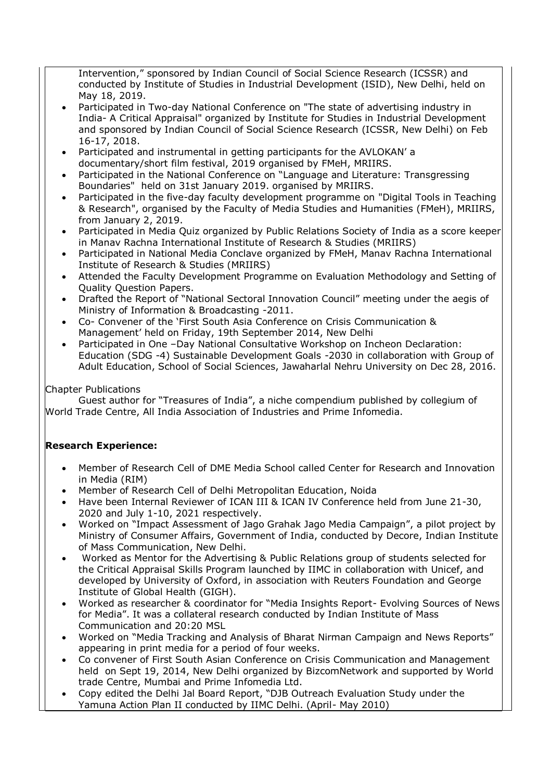Intervention," sponsored by Indian Council of Social Science Research (ICSSR) and conducted by Institute of Studies in Industrial Development (ISID), New Delhi, held on May 18, 2019.

- Participated in Two-day National Conference on "The state of advertising industry in India- A Critical Appraisal" organized by Institute for Studies in Industrial Development and sponsored by Indian Council of Social Science Research (ICSSR, New Delhi) on Feb 16-17, 2018.
- Participated and instrumental in getting participants for the AVLOKAN' a documentary/short film festival, 2019 organised by FMeH, MRIIRS.
- Participated in the National Conference on "Language and Literature: Transgressing Boundaries" held on 31st January 2019. organised by MRIIRS.
- Participated in the five-day faculty development programme on "Digital Tools in Teaching & Research", organised by the Faculty of Media Studies and Humanities (FMeH), MRIIRS, from January 2, 2019.
- Participated in Media Quiz organized by Public Relations Society of India as a score keeper in Manav Rachna International Institute of Research & Studies (MRIIRS)
- Participated in National Media Conclave organized by FMeH, Manav Rachna International Institute of Research & Studies (MRIIRS)
- Attended the Faculty Development Programme on Evaluation Methodology and Setting of Quality Question Papers.
- Drafted the Report of "National Sectoral Innovation Council" meeting under the aegis of Ministry of Information & Broadcasting -2011.
- Co- Convener of the 'First South Asia Conference on Crisis Communication & Management' held on Friday, 19th September 2014, New Delhi
- Participated in One –Day National Consultative Workshop on Incheon Declaration: Education (SDG -4) Sustainable Development Goals -2030 in collaboration with Group of Adult Education, School of Social Sciences, Jawaharlal Nehru University on Dec 28, 2016.

## Chapter Publications

Guest author for "Treasures of India", a niche compendium published by collegium of World Trade Centre, All India Association of Industries and Prime Infomedia.

## **Research Experience:**

- Member of Research Cell of DME Media School called Center for Research and Innovation in Media (RIM)
- Member of Research Cell of Delhi Metropolitan Education, Noida
- Have been Internal Reviewer of ICAN III & ICAN IV Conference held from June 21-30, 2020 and July 1-10, 2021 respectively.
- Worked on "Impact Assessment of Jago Grahak Jago Media Campaign", a pilot project by Ministry of Consumer Affairs, Government of India, conducted by Decore, Indian Institute of Mass Communication, New Delhi.
- Worked as Mentor for the Advertising & Public Relations group of students selected for the Critical Appraisal Skills Program launched by IIMC in collaboration with Unicef, and developed by University of Oxford, in association with Reuters Foundation and George Institute of Global Health (GIGH).
- Worked as researcher & coordinator for "Media Insights Report- Evolving Sources of News for Media". It was a collateral research conducted by Indian Institute of Mass Communication and 20:20 MSL
- Worked on "Media Tracking and Analysis of Bharat Nirman Campaign and News Reports" appearing in print media for a period of four weeks.
- Co convener of First South Asian Conference on Crisis Communication and Management held on Sept 19, 2014, New Delhi organized by BizcomNetwork and supported by World trade Centre, Mumbai and Prime Infomedia Ltd.
- Copy edited the Delhi Jal Board Report, "DJB Outreach Evaluation Study under the Yamuna Action Plan II conducted by IIMC Delhi. (April- May 2010)